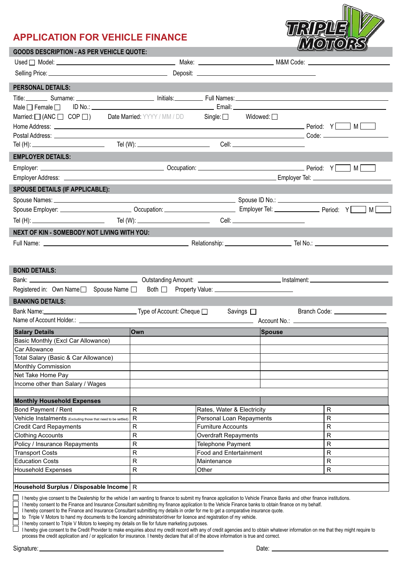## **APPLICATION FOR VEHICLE FINANCE**



| <b>GOODS DESCRIPTION - AS PER VEHICLE QUOTE:</b>                                                                                                                                                                                                                                                |              |                                                     |                                     | العماديات                       |  |  |
|-------------------------------------------------------------------------------------------------------------------------------------------------------------------------------------------------------------------------------------------------------------------------------------------------|--------------|-----------------------------------------------------|-------------------------------------|---------------------------------|--|--|
|                                                                                                                                                                                                                                                                                                 |              |                                                     |                                     |                                 |  |  |
|                                                                                                                                                                                                                                                                                                 |              |                                                     |                                     |                                 |  |  |
|                                                                                                                                                                                                                                                                                                 |              |                                                     |                                     |                                 |  |  |
| <b>PERSONAL DETAILS:</b>                                                                                                                                                                                                                                                                        |              |                                                     |                                     |                                 |  |  |
| Title: Surname: Surname: Surname: Surname: Surname: Surname: Surname: Surname: Surname: Surname: Surname: Surname: Surname: Surname: Surname: Surname: Surname: Surname: Surname: Surname: Surname: Surname: Surname: Surname:                                                                  |              |                                                     |                                     |                                 |  |  |
| Male $\square$ Female $\square$                                                                                                                                                                                                                                                                 |              |                                                     |                                     |                                 |  |  |
| Married: $\Box$ (ANC $\Box$ COP $\Box$ ) Date Married: YYYY / MM / DD Single: $\Box$ Widowed: $\Box$                                                                                                                                                                                            |              |                                                     |                                     |                                 |  |  |
|                                                                                                                                                                                                                                                                                                 |              |                                                     |                                     |                                 |  |  |
|                                                                                                                                                                                                                                                                                                 |              |                                                     |                                     |                                 |  |  |
|                                                                                                                                                                                                                                                                                                 |              |                                                     | Cell: _____________________________ |                                 |  |  |
| <b>EMPLOYER DETAILS:</b>                                                                                                                                                                                                                                                                        |              |                                                     |                                     |                                 |  |  |
|                                                                                                                                                                                                                                                                                                 |              |                                                     |                                     |                                 |  |  |
|                                                                                                                                                                                                                                                                                                 |              |                                                     |                                     |                                 |  |  |
| <b>SPOUSE DETAILS (IF APPLICABLE):</b>                                                                                                                                                                                                                                                          |              |                                                     |                                     |                                 |  |  |
|                                                                                                                                                                                                                                                                                                 |              |                                                     |                                     |                                 |  |  |
|                                                                                                                                                                                                                                                                                                 |              |                                                     | мſ                                  |                                 |  |  |
|                                                                                                                                                                                                                                                                                                 |              |                                                     |                                     |                                 |  |  |
|                                                                                                                                                                                                                                                                                                 |              |                                                     |                                     |                                 |  |  |
| NEXT OF KIN - SOMEBODY NOT LIVING WITH YOU:                                                                                                                                                                                                                                                     |              |                                                     |                                     |                                 |  |  |
|                                                                                                                                                                                                                                                                                                 |              |                                                     |                                     |                                 |  |  |
|                                                                                                                                                                                                                                                                                                 |              |                                                     |                                     |                                 |  |  |
|                                                                                                                                                                                                                                                                                                 |              |                                                     |                                     |                                 |  |  |
| <b>BOND DETAILS:</b>                                                                                                                                                                                                                                                                            |              |                                                     |                                     |                                 |  |  |
|                                                                                                                                                                                                                                                                                                 |              |                                                     |                                     |                                 |  |  |
| Registered in: Own Name□ Spouse Name □ Both □ Property Value: __________________                                                                                                                                                                                                                |              |                                                     |                                     |                                 |  |  |
| <b>BANKING DETAILS:</b>                                                                                                                                                                                                                                                                         |              |                                                     |                                     |                                 |  |  |
|                                                                                                                                                                                                                                                                                                 |              | Savings $\square$                                   |                                     | Branch Code: __________________ |  |  |
|                                                                                                                                                                                                                                                                                                 |              |                                                     |                                     |                                 |  |  |
| <b>Salary Details</b>                                                                                                                                                                                                                                                                           | lOwn         |                                                     | Spouse                              |                                 |  |  |
| Basic Monthly (Excl Car Allowance)                                                                                                                                                                                                                                                              |              |                                                     |                                     |                                 |  |  |
| Car Allowance                                                                                                                                                                                                                                                                                   |              |                                                     |                                     |                                 |  |  |
| Total Salary (Basic & Car Allowance)                                                                                                                                                                                                                                                            |              |                                                     |                                     |                                 |  |  |
| Monthly Commission                                                                                                                                                                                                                                                                              |              |                                                     |                                     |                                 |  |  |
| Net Take Home Pay                                                                                                                                                                                                                                                                               |              |                                                     |                                     |                                 |  |  |
| Income other than Salary / Wages                                                                                                                                                                                                                                                                |              |                                                     |                                     |                                 |  |  |
|                                                                                                                                                                                                                                                                                                 |              |                                                     |                                     |                                 |  |  |
| <b>Monthly Household Expenses</b>                                                                                                                                                                                                                                                               |              |                                                     |                                     |                                 |  |  |
| Bond Payment / Rent                                                                                                                                                                                                                                                                             | ${\sf R}$    | R<br>Rates, Water & Electricity                     |                                     |                                 |  |  |
| Vehicle Instalments (Excluding those that need to be settled)                                                                                                                                                                                                                                   | $\mathsf{R}$ | R<br>Personal Loan Repayments                       |                                     |                                 |  |  |
| <b>Credit Card Repayments</b>                                                                                                                                                                                                                                                                   | R            | R<br><b>Furniture Accounts</b>                      |                                     |                                 |  |  |
| <b>Clothing Accounts</b>                                                                                                                                                                                                                                                                        | R            | R<br>Overdraft Repayments<br>R<br>Telephone Payment |                                     |                                 |  |  |
| Policy / Insurance Repayments<br><b>Transport Costs</b>                                                                                                                                                                                                                                         | R<br>R       | <b>Food and Entertainment</b><br>R                  |                                     |                                 |  |  |
| <b>Education Costs</b>                                                                                                                                                                                                                                                                          | R            | Maintenance                                         |                                     | R                               |  |  |
| <b>Household Expenses</b>                                                                                                                                                                                                                                                                       | R            | Other<br>R                                          |                                     |                                 |  |  |
|                                                                                                                                                                                                                                                                                                 |              |                                                     |                                     |                                 |  |  |
| Household Surplus / Disposable Income R                                                                                                                                                                                                                                                         |              |                                                     |                                     |                                 |  |  |
| I hereby give consent to the Dealership for the vehicle I am wanting to finance to submit my finance application to Vehicle Finance Banks and other finance institutions.                                                                                                                       |              |                                                     |                                     |                                 |  |  |
| I hereby consent to the Finance and Insurance Consultant submitting my finance application to the Vehicle Finance banks to obtain finance on my behalf.<br>I hereby consent to the Finance and Insurance Consultant submitting my details in order for me to get a comparative insurance quote. |              |                                                     |                                     |                                 |  |  |
|                                                                                                                                                                                                                                                                                                 |              |                                                     |                                     |                                 |  |  |

I hereby consent to Triple V Motors to keeping my details on file for future marketing purposes.

I hereby give consent to the Credit Provider to make enquiries about my credit record with any of credit agencies and to obtain whatever information on me that they might require to process the credit application and / or application for insurance. I hereby declare that all of the above information is true and correct.